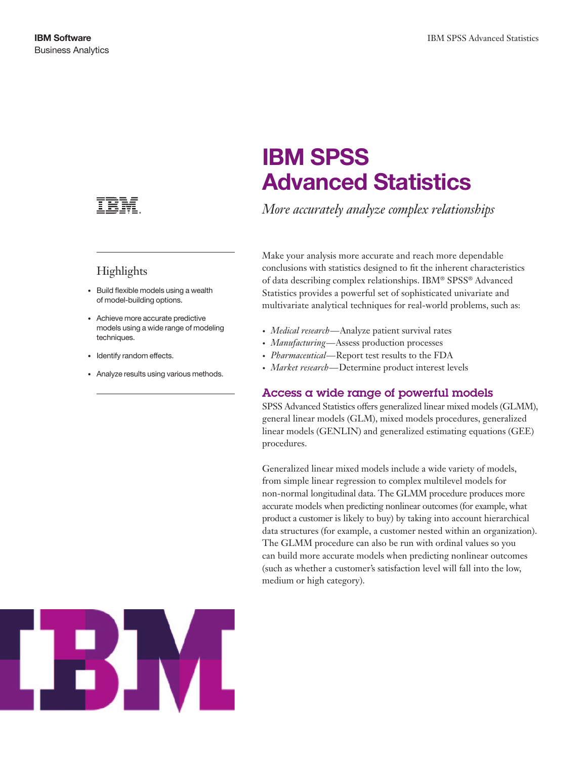

## Highlights

- • Build flexible models using a wealth of model-building options.
- • Achieve more accurate predictive models using a wide range of modeling techniques.
- Identify random effects.
- Analyze results using various methods.

# IBM SPSS Advanced Statistics

*More accurately analyze complex relationships*

Make your analysis more accurate and reach more dependable conclusions with statistics designed to fit the inherent characteristics of data describing complex relationships. IBM® SPSS® Advanced Statistics provides a powerful set of sophisticated univariate and multivariate analytical techniques for real-world problems, such as:

- *• Medical research*—Analyze patient survival rates
- *• Manufacturing*—Assess production processes
- *• Pharmaceutical*—Report test results to the FDA
- *• Market research*—Determine product interest levels

## Access a wide range of powerful models

SPSS Advanced Statistics offers generalized linear mixed models (GLMM), general linear models (GLM), mixed models procedures, generalized linear models (GENLIN) and generalized estimating equations (GEE) procedures.

Generalized linear mixed models include a wide variety of models, from simple linear regression to complex multilevel models for non-normal longitudinal data. The GLMM procedure produces more accurate models when predicting nonlinear outcomes (for example, what product a customer is likely to buy) by taking into account hierarchical data structures (for example, a customer nested within an organization). The GLMM procedure can also be run with ordinal values so you can build more accurate models when predicting nonlinear outcomes (such as whether a customer's satisfaction level will fall into the low, medium or high category).

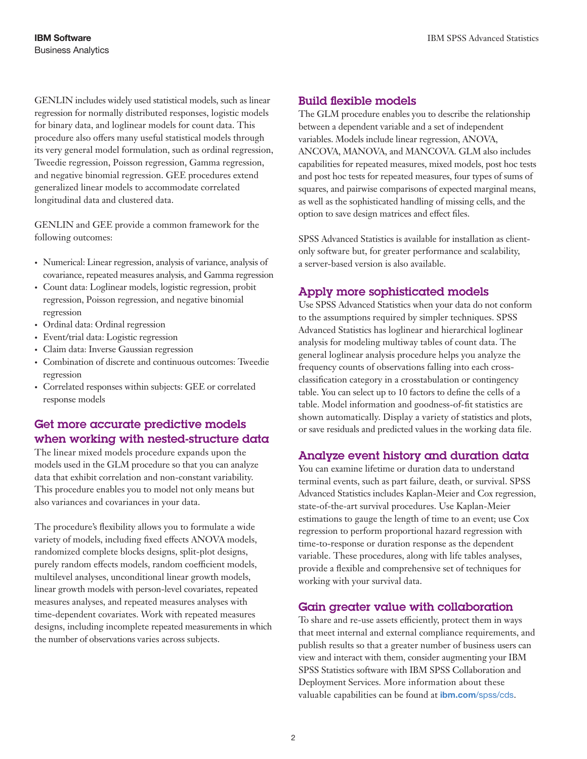GENLIN includes widely used statistical models, such as linear regression for normally distributed responses, logistic models for binary data, and loglinear models for count data. This procedure also offers many useful statistical models through its very general model formulation, such as ordinal regression, Tweedie regression, Poisson regression, Gamma regression, and negative binomial regression. GEE procedures extend generalized linear models to accommodate correlated longitudinal data and clustered data.

GENLIN and GEE provide a common framework for the following outcomes:

- • Numerical: Linear regression, analysis of variance, analysis of covariance, repeated measures analysis, and Gamma regression
- • Count data: Loglinear models, logistic regression, probit regression, Poisson regression, and negative binomial regression
- • Ordinal data: Ordinal regression
- • Event/trial data: Logistic regression
- • Claim data: Inverse Gaussian regression
- Combination of discrete and continuous outcomes: Tweedie regression
- • Correlated responses within subjects: GEE or correlated response models

## Get more accurate predictive models when working with nested-structure data

The linear mixed models procedure expands upon the models used in the GLM procedure so that you can analyze data that exhibit correlation and non-constant variability. This procedure enables you to model not only means but also variances and covariances in your data.

The procedure's flexibility allows you to formulate a wide variety of models, including fixed effects ANOVA models, randomized complete blocks designs, split-plot designs, purely random effects models, random coefficient models, multilevel analyses, unconditional linear growth models, linear growth models with person-level covariates, repeated measures analyses, and repeated measures analyses with time-dependent covariates. Work with repeated measures designs, including incomplete repeated measurements in which the number of observations varies across subjects.

#### Build flexible models

The GLM procedure enables you to describe the relationship between a dependent variable and a set of independent variables. Models include linear regression, ANOVA, ANCOVA, MANOVA, and MANCOVA. GLM also includes capabilities for repeated measures, mixed models, post hoc tests and post hoc tests for repeated measures, four types of sums of squares, and pairwise comparisons of expected marginal means, as well as the sophisticated handling of missing cells, and the option to save design matrices and effect files.

SPSS Advanced Statistics is available for installation as clientonly software but, for greater performance and scalability, a server-based version is also available.

## Apply more sophisticated models

Use SPSS Advanced Statistics when your data do not conform to the assumptions required by simpler techniques. SPSS Advanced Statistics has loglinear and hierarchical loglinear analysis for modeling multiway tables of count data. The general loglinear analysis procedure helps you analyze the frequency counts of observations falling into each crossclassification category in a crosstabulation or contingency table. You can select up to 10 factors to define the cells of a table. Model information and goodness-of-fit statistics are shown automatically. Display a variety of statistics and plots, or save residuals and predicted values in the working data file.

## Analyze event history and duration data

You can examine lifetime or duration data to understand terminal events, such as part failure, death, or survival. SPSS Advanced Statistics includes Kaplan-Meier and Cox regression, state-of-the-art survival procedures. Use Kaplan-Meier estimations to gauge the length of time to an event; use Cox regression to perform proportional hazard regression with time-to-response or duration response as the dependent variable. These procedures, along with life tables analyses, provide a flexible and comprehensive set of techniques for working with your survival data.

## Gain greater value with collaboration

To share and re-use assets efficiently, protect them in ways that meet internal and external compliance requirements, and publish results so that a greater number of business users can view and interact with them, consider augmenting your IBM SPSS Statistics software with IBM SPSS Collaboration and Deployment Services. More information about these valuable capabilities can be found at *ibm.com*[/spss/cds](http://www.ibm.com/software/analytics/spss/products/deployment/cds/).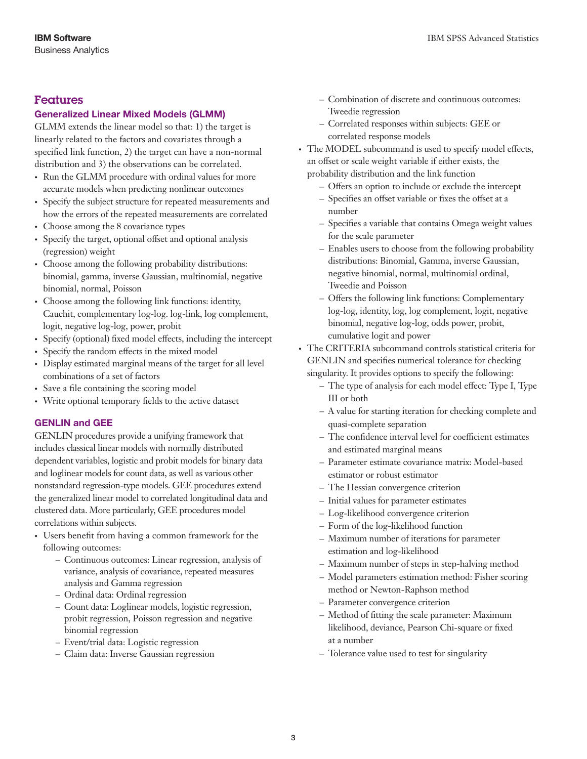### Features

#### Generalized Linear Mixed Models (GLMM)

GLMM extends the linear model so that: 1) the target is linearly related to the factors and covariates through a specified link function, 2) the target can have a non-normal distribution and 3) the observations can be correlated.

- Run the GLMM procedure with ordinal values for more accurate models when predicting nonlinear outcomes
- Specify the subject structure for repeated measurements and how the errors of the repeated measurements are correlated
- • Choose among the 8 covariance types
- Specify the target, optional offset and optional analysis (regression) weight
- • Choose among the following probability distributions: binomial, gamma, inverse Gaussian, multinomial, negative binomial, normal, Poisson
- • Choose among the following link functions: identity, Cauchit, complementary log-log. log-link, log complement, logit, negative log-log, power, probit
- Specify (optional) fixed model effects, including the intercept
- Specify the random effects in the mixed model
- • Display estimated marginal means of the target for all level combinations of a set of factors
- Save a file containing the scoring model
- Write optional temporary fields to the active dataset

#### GENLIN and GEE

GENLIN procedures provide a unifying framework that includes classical linear models with normally distributed dependent variables, logistic and probit models for binary data and loglinear models for count data, as well as various other nonstandard regression-type models. GEE procedures extend the generalized linear model to correlated longitudinal data and clustered data. More particularly, GEE procedures model correlations within subjects.

- • Users benefit from having a common framework for the following outcomes:
	- Continuous outcomes: Linear regression, analysis of variance, analysis of covariance, repeated measures analysis and Gamma regression
	- Ordinal data: Ordinal regression
	- Count data: Loglinear models, logistic regression, probit regression, Poisson regression and negative binomial regression
	- Event/trial data: Logistic regression
	- Claim data: Inverse Gaussian regression
- Combination of discrete and continuous outcomes: Tweedie regression
- Correlated responses within subjects: GEE or correlated response models
- The MODEL subcommand is used to specify model effects, an offset or scale weight variable if either exists, the probability distribution and the link function
	- Offers an option to include or exclude the intercept
	- Specifies an offset variable or fixes the offset at a number
	- Specifies a variable that contains Omega weight values for the scale parameter
	- Enables users to choose from the following probability distributions: Binomial, Gamma, inverse Gaussian, negative binomial, normal, multinomial ordinal, Tweedie and Poisson
	- Offers the following link functions: Complementary log-log, identity, log, log complement, logit, negative binomial, negative log-log, odds power, probit, cumulative logit and power

• The CRITERIA subcommand controls statistical criteria for GENLIN and specifies numerical tolerance for checking singularity. It provides options to specify the following:

- The type of analysis for each model effect: Type I, Type III or both
- A value for starting iteration for checking complete and quasi-complete separation
- The confidence interval level for coefficient estimates and estimated marginal means
- Parameter estimate covariance matrix: Model-based estimator or robust estimator
- The Hessian convergence criterion
- Initial values for parameter estimates
- Log-likelihood convergence criterion
- Form of the log-likelihood function
- Maximum number of iterations for parameter estimation and log-likelihood
- Maximum number of steps in step-halving method
- Model parameters estimation method: Fisher scoring method or Newton-Raphson method
- Parameter convergence criterion
- Method of fitting the scale parameter: Maximum likelihood, deviance, Pearson Chi-square or fixed at a number
- Tolerance value used to test for singularity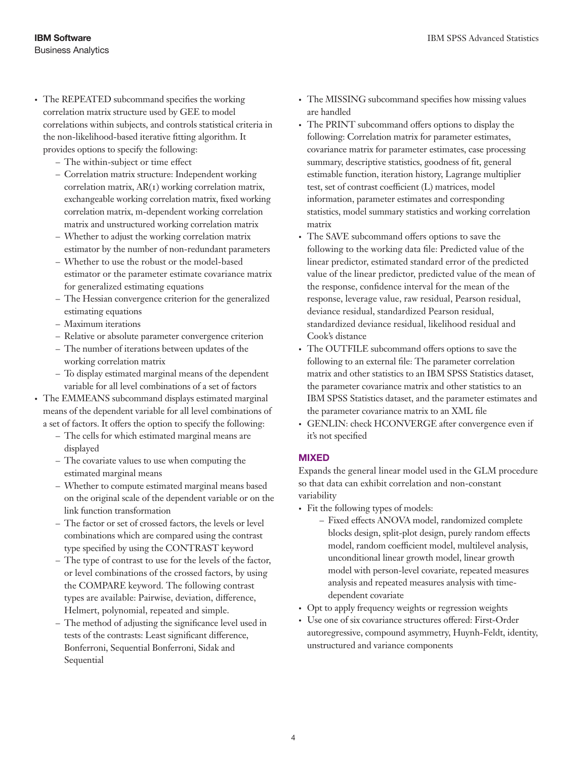- The REPEATED subcommand specifies the working correlation matrix structure used by GEE to model correlations within subjects, and controls statistical criteria in the non-likelihood-based iterative fitting algorithm. It provides options to specify the following:
	- The within-subject or time effect
	- Correlation matrix structure: Independent working correlation matrix, AR(1) working correlation matrix, exchangeable working correlation matrix, fixed working correlation matrix, m-dependent working correlation matrix and unstructured working correlation matrix
	- Whether to adjust the working correlation matrix estimator by the number of non-redundant parameters
	- Whether to use the robust or the model-based estimator or the parameter estimate covariance matrix for generalized estimating equations
	- The Hessian convergence criterion for the generalized estimating equations
	- Maximum iterations
	- Relative or absolute parameter convergence criterion
	- The number of iterations between updates of the working correlation matrix
	- To display estimated marginal means of the dependent variable for all level combinations of a set of factors

• The EMMEANS subcommand displays estimated marginal means of the dependent variable for all level combinations of a set of factors. It offers the option to specify the following:

- The cells for which estimated marginal means are displayed
- The covariate values to use when computing the estimated marginal means
- Whether to compute estimated marginal means based on the original scale of the dependent variable or on the link function transformation
- The factor or set of crossed factors, the levels or level combinations which are compared using the contrast type specified by using the CONTRAST keyword
- The type of contrast to use for the levels of the factor, or level combinations of the crossed factors, by using the COMPARE keyword. The following contrast types are available: Pairwise, deviation, difference, Helmert, polynomial, repeated and simple.
- The method of adjusting the significance level used in tests of the contrasts: Least significant difference, Bonferroni, Sequential Bonferroni, Sidak and Sequential
- The MISSING subcommand specifies how missing values are handled
- The PRINT subcommand offers options to display the following: Correlation matrix for parameter estimates, covariance matrix for parameter estimates, case processing summary, descriptive statistics, goodness of fit, general estimable function, iteration history, Lagrange multiplier test, set of contrast coefficient (L) matrices, model information, parameter estimates and corresponding statistics, model summary statistics and working correlation matrix
- • The SAVE subcommand offers options to save the following to the working data file: Predicted value of the linear predictor, estimated standard error of the predicted value of the linear predictor, predicted value of the mean of the response, confidence interval for the mean of the response, leverage value, raw residual, Pearson residual, deviance residual, standardized Pearson residual, standardized deviance residual, likelihood residual and Cook's distance
- • The OUTFILE subcommand offers options to save the following to an external file: The parameter correlation matrix and other statistics to an IBM SPSS Statistics dataset, the parameter covariance matrix and other statistics to an IBM SPSS Statistics dataset, and the parameter estimates and the parameter covariance matrix to an XML file
- GENLIN: check HCONVERGE after convergence even if it's not specified

#### MIXED

Expands the general linear model used in the GLM procedure so that data can exhibit correlation and non-constant variability

- Fit the following types of models:
	- Fixed effects ANOVA model, randomized complete blocks design, split-plot design, purely random effects model, random coefficient model, multilevel analysis, unconditional linear growth model, linear growth model with person-level covariate, repeated measures analysis and repeated measures analysis with timedependent covariate
- • Opt to apply frequency weights or regression weights
- Use one of six covariance structures offered: First-Order autoregressive, compound asymmetry, Huynh-Feldt, identity, unstructured and variance components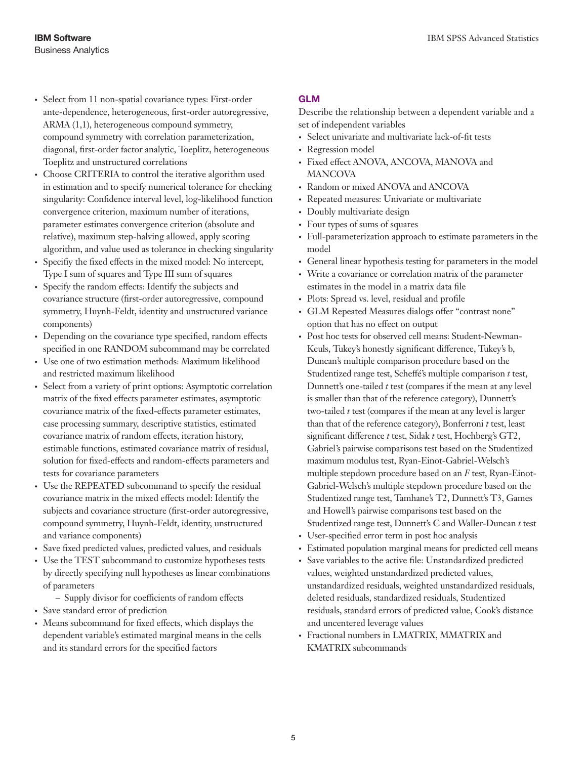- • Select from 11 non-spatial covariance types: First-order ante-dependence, heterogeneous, first-order autoregressive, ARMA (1,1), heterogeneous compound symmetry, compound symmetry with correlation parameterization, diagonal, first-order factor analytic, Toeplitz, heterogeneous Toeplitz and unstructured correlations
- Choose CRITERIA to control the iterative algorithm used in estimation and to specify numerical tolerance for checking singularity: Confidence interval level, log-likelihood function convergence criterion, maximum number of iterations, parameter estimates convergence criterion (absolute and relative), maximum step-halving allowed, apply scoring algorithm, and value used as tolerance in checking singularity
- • Specifiy the fixed effects in the mixed model: No intercept, Type I sum of squares and Type III sum of squares
- Specify the random effects: Identify the subjects and covariance structure (first-order autoregressive, compound symmetry, Huynh-Feldt, identity and unstructured variance components)
- Depending on the covariance type specified, random effects specified in one RANDOM subcommand may be correlated
- Use one of two estimation methods: Maximum likelihood and restricted maximum likelihood
- • Select from a variety of print options: Asymptotic correlation matrix of the fixed effects parameter estimates, asymptotic covariance matrix of the fixed-effects parameter estimates, case processing summary, descriptive statistics, estimated covariance matrix of random effects, iteration history, estimable functions, estimated covariance matrix of residual, solution for fixed-effects and random-effects parameters and tests for covariance parameters
- Use the REPEATED subcommand to specify the residual covariance matrix in the mixed effects model: Identify the subjects and covariance structure (first-order autoregressive, compound symmetry, Huynh-Feldt, identity, unstructured and variance components)
- • Save fixed predicted values, predicted values, and residuals
- Use the TEST subcommand to customize hypotheses tests by directly specifying null hypotheses as linear combinations of parameters
	- Supply divisor for coefficients of random effects
- • Save standard error of prediction
- • Means subcommand for fixed effects, which displays the dependent variable's estimated marginal means in the cells and its standard errors for the specified factors

#### GLM

Describe the relationship between a dependent variable and a set of independent variables

- • Select univariate and multivariate lack-of-fit tests
- Regression model
- • Fixed effect ANOVA, ANCOVA, MANOVA and **MANCOVA**
- Random or mixed ANOVA and ANCOVA
- • Repeated measures: Univariate or multivariate
- Doubly multivariate design
- Four types of sums of squares
- • Full-parameterization approach to estimate parameters in the model
- • General linear hypothesis testing for parameters in the model
- • Write a covariance or correlation matrix of the parameter estimates in the model in a matrix data file
- Plots: Spread vs. level, residual and profile
- • GLM Repeated Measures dialogs offer "contrast none" option that has no effect on output
- • Post hoc tests for observed cell means: Student-Newman-Keuls, Tukey's honestly significant difference, Tukey's b, Duncan's multiple comparison procedure based on the Studentized range test, Scheffé's multiple comparison *t* test, Dunnett's one-tailed *t* test (compares if the mean at any level is smaller than that of the reference category), Dunnett's two-tailed *t* test (compares if the mean at any level is larger than that of the reference category), Bonferroni *t* test, least significant difference *t* test, Sidak *t* test, Hochberg's GT2, Gabriel's pairwise comparisons test based on the Studentized maximum modulus test, Ryan-Einot-Gabriel-Welsch's multiple stepdown procedure based on an *F* test, Ryan-Einot-Gabriel-Welsch's multiple stepdown procedure based on the Studentized range test, Tamhane's T2, Dunnett's T3, Games and Howell's pairwise comparisons test based on the Studentized range test, Dunnett's C and Waller-Duncan *t* test
- User-specified error term in post hoc analysis
- • Estimated population marginal means for predicted cell means
- • Save variables to the active file: Unstandardized predicted values, weighted unstandardized predicted values, unstandardized residuals, weighted unstandardized residuals, deleted residuals, standardized residuals, Studentized residuals, standard errors of predicted value, Cook's distance and uncentered leverage values
- • Fractional numbers in LMATRIX, MMATRIX and KMATRIX subcommands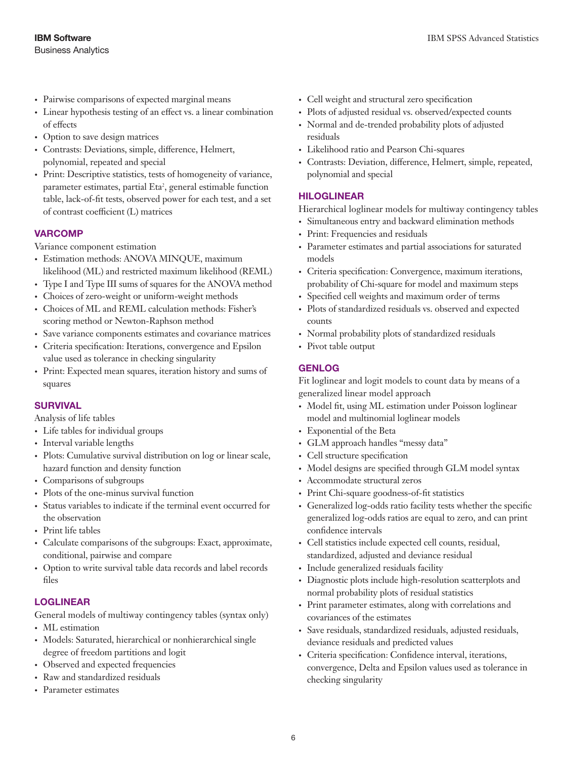- • Pairwise comparisons of expected marginal means
- • Linear hypothesis testing of an effect vs. a linear combination of effects
- Option to save design matrices
- • Contrasts: Deviations, simple, difference, Helmert, polynomial, repeated and special
- • Print: Descriptive statistics, tests of homogeneity of variance, parameter estimates, partial Eta<sup>2</sup>, general estimable function table, lack-of-fit tests, observed power for each test, and a set of contrast coefficient (L) matrices

#### VARCOMP

Variance component estimation

- Estimation methods: ANOVA MINQUE, maximum likelihood (ML) and restricted maximum likelihood (REML)
- Type I and Type III sums of squares for the ANOVA method
- • Choices of zero-weight or uniform-weight methods
- Choices of ML and REML calculation methods: Fisher's scoring method or Newton-Raphson method
- • Save variance components estimates and covariance matrices
- Criteria specification: Iterations, convergence and Epsilon value used as tolerance in checking singularity
- Print: Expected mean squares, iteration history and sums of squares

#### **SURVIVAL**

Analysis of life tables

- Life tables for individual groups
- • Interval variable lengths
- Plots: Cumulative survival distribution on log or linear scale, hazard function and density function
- Comparisons of subgroups
- Plots of the one-minus survival function
- • Status variables to indicate if the terminal event occurred for the observation
- • Print life tables
- • Calculate comparisons of the subgroups: Exact, approximate, conditional, pairwise and compare
- • Option to write survival table data records and label records files

#### LOGLINEAR

General models of multiway contingency tables (syntax only)

- ML estimation
- Models: Saturated, hierarchical or nonhierarchical single degree of freedom partitions and logit
- • Observed and expected frequencies
- • Raw and standardized residuals
- • Parameter estimates
- • Cell weight and structural zero specification
- • Plots of adjusted residual vs. observed/expected counts
- • Normal and de-trended probability plots of adjusted residuals
- • Likelihood ratio and Pearson Chi-squares
- • Contrasts: Deviation, difference, Helmert, simple, repeated, polynomial and special

#### HILOGLINEAR

Hierarchical loglinear models for multiway contingency tables

- • Simultaneous entry and backward elimination methods
- Print: Frequencies and residuals
- • Parameter estimates and partial associations for saturated models
- • Criteria specification: Convergence, maximum iterations, probability of Chi-square for model and maximum steps
- • Specified cell weights and maximum order of terms
- • Plots of standardized residuals vs. observed and expected counts
- Normal probability plots of standardized residuals
- • Pivot table output

#### GENLOG

Fit loglinear and logit models to count data by means of a generalized linear model approach

- • Model fit, using ML estimation under Poisson loglinear model and multinomial loglinear models
- Exponential of the Beta
- GLM approach handles "messy data"
- Cell structure specification
- • Model designs are specified through GLM model syntax
- • Accommodate structural zeros
- Print Chi-square goodness-of-fit statistics
- • Generalized log-odds ratio facility tests whether the specific generalized log-odds ratios are equal to zero, and can print confidence intervals
- • Cell statistics include expected cell counts, residual, standardized, adjusted and deviance residual
- • Include generalized residuals facility
- • Diagnostic plots include high-resolution scatterplots and normal probability plots of residual statistics
- • Print parameter estimates, along with correlations and covariances of the estimates
- • Save residuals, standardized residuals, adjusted residuals, deviance residuals and predicted values
- • Criteria specification: Confidence interval, iterations, convergence, Delta and Epsilon values used as tolerance in checking singularity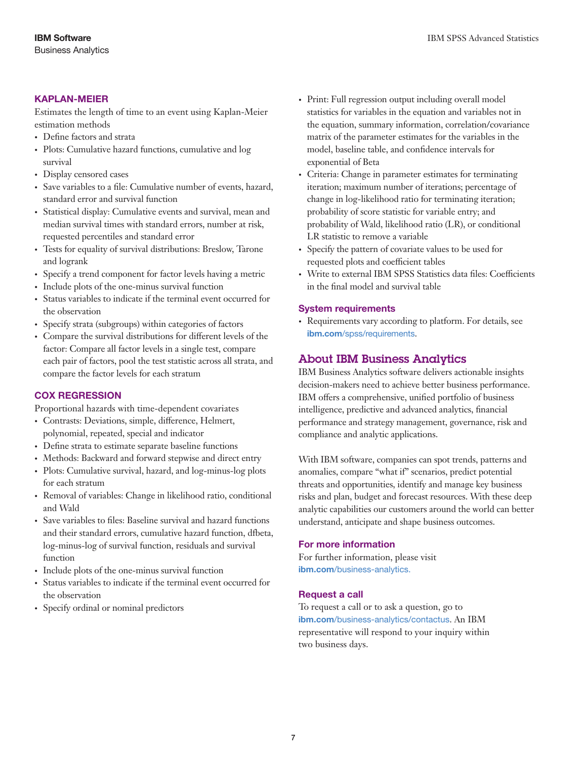#### KAPLAN-MEIER

Estimates the length of time to an event using Kaplan-Meier estimation methods

- Define factors and strata
- Plots: Cumulative hazard functions, cumulative and log survival
- Display censored cases
- • Save variables to a file: Cumulative number of events, hazard, standard error and survival function
- • Statistical display: Cumulative events and survival, mean and median survival times with standard errors, number at risk, requested percentiles and standard error
- Tests for equality of survival distributions: Breslow, Tarone and logrank
- • Specify a trend component for factor levels having a metric
- • Include plots of the one-minus survival function
- Status variables to indicate if the terminal event occurred for the observation
- Specify strata (subgroups) within categories of factors
- • Compare the survival distributions for different levels of the factor: Compare all factor levels in a single test, compare each pair of factors, pool the test statistic across all strata, and compare the factor levels for each stratum

#### COX REGRESSION

Proportional hazards with time-dependent covariates

- • Contrasts: Deviations, simple, difference, Helmert, polynomial, repeated, special and indicator
- Define strata to estimate separate baseline functions
- • Methods: Backward and forward stepwise and direct entry
- Plots: Cumulative survival, hazard, and log-minus-log plots for each stratum
- • Removal of variables: Change in likelihood ratio, conditional and Wald
- • Save variables to files: Baseline survival and hazard functions and their standard errors, cumulative hazard function, dfbeta, log-minus-log of survival function, residuals and survival function
- • Include plots of the one-minus survival function
- Status variables to indicate if the terminal event occurred for the observation
- • Specify ordinal or nominal predictors
- • Print: Full regression output including overall model statistics for variables in the equation and variables not in the equation, summary information, correlation/covariance matrix of the parameter estimates for the variables in the model, baseline table, and confidence intervals for exponential of Beta
- • Criteria: Change in parameter estimates for terminating iteration; maximum number of iterations; percentage of change in log-likelihood ratio for terminating iteration; probability of score statistic for variable entry; and probability of Wald, likelihood ratio (LR), or conditional LR statistic to remove a variable
- • Specify the pattern of covariate values to be used for requested plots and coefficient tables
- • Write to external IBM SPSS Statistics data files: Coefficients in the final model and survival table

#### System requirements

• Requirements vary according to platform. For details, see ibm.com[/spss/requirements](http://www.ibm.com/software/analytics/spss/products/statistics/requirements.html).

## About IBM Business Analytics

IBM Business Analytics software delivers actionable insights decision-makers need to achieve better business performance. IBM offers a comprehensive, unified portfolio of business intelligence, predictive and advanced analytics, financial performance and strategy management, governance, risk and compliance and analytic applications.

With IBM software, companies can spot trends, patterns and anomalies, compare "what if" scenarios, predict potential threats and opportunities, identify and manage key business risks and plan, budget and forecast resources. With these deep analytic capabilities our customers around the world can better understand, anticipate and shape business outcomes.

#### For more information

For further information, please visit ibm.com[/business-analytics](http://www.ibm.com/business-analytics).

#### Request a call

To request a call or to ask a question, go to ibm.com[/business-analytics/contactus](http://forms.cognos.com/?elqPURLPage=2300&offid=contactus_ba_collateral&mc=-web_ibm_ba_contactus). An IBM representative will respond to your inquiry within two business days.